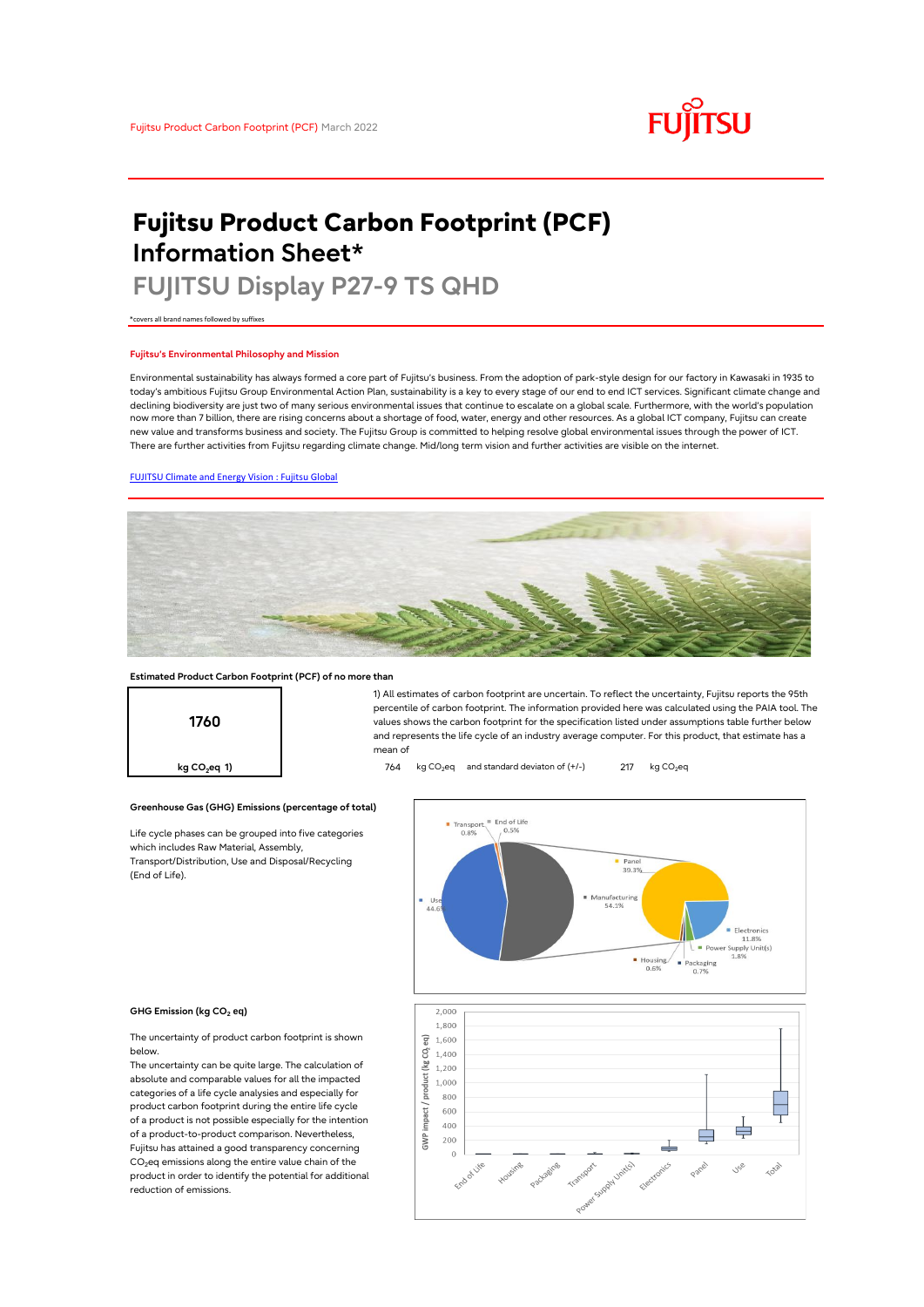# **FUJITSU**

# **Fujitsu Product Carbon Footprint (PCF) Information Sheet\***

# **FUJITSU Display P27-9 TS QHD**

\*covers all brand names followed by suffixes

## **Fujitsu's Environmental Philosophy and Mission**

Environmental sustainability has always formed a core part of Fujitsu's business. From the adoption of park-style design for our factory in Kawasaki in 1935 to today's ambitious Fujitsu Group Environmental Action Plan, sustainability is a key to every stage of our end to end ICT services. Significant climate change and declining biodiversity are just two of many serious environmental issues that continue to escalate on a global scale. Furthermore, with the world's population now more than 7 billion, there are rising concerns about a shortage of food, water, energy and other resources. As a global ICT company, Fujitsu can create new value and transforms business and society. The Fujitsu Group is committed to helping resolve global environmental issues through the power of ICT. There are further activities from Fujitsu regarding climate change. Mid/long term vision and further activities are visible on the internet.

# [FUJITSU Climate and Energy Vision : Fujitsu Global](https://www.fujitsu.com/global/about/environment/climate-energy-vision/)



mean of

### **Estimated Product Carbon Footprint (PCF) of no more than**



**Greenhouse Gas (GHG) Emissions (percentage of total)**

Life cycle phases can be grouped into five categories which includes Raw Material, Assembly, Transport/Distribution, Use and Disposal/Recycling (End of Life).



1) All estimates of carbon footprint are uncertain. To reflect the uncertainty, Fujitsu reports the 95th percentile of carbon footprint. The information provided here was calculated using the PAIA tool. The values shows the carbon footprint for the specification listed under assumptions table further below and represents the life cycle of an industry average computer. For this product, that estimate has a

#### **GHG Emission (kg CO<sup>2</sup> eq)**

The uncertainty of product carbon footprint is shown below.

The uncertainty can be quite large. The calculation of absolute and comparable values for all the impacted categories of a life cycle analysies and especially for product carbon footprint during the entire life cycle of a product is not possible especially for the intention of a product-to-product comparison. Nevertheless, Fujitsu has attained a good transparency concerning  $CO<sub>2</sub>$ eq emissions along the entire value chain of the product in order to identify the potential for additional reduction of emissions.